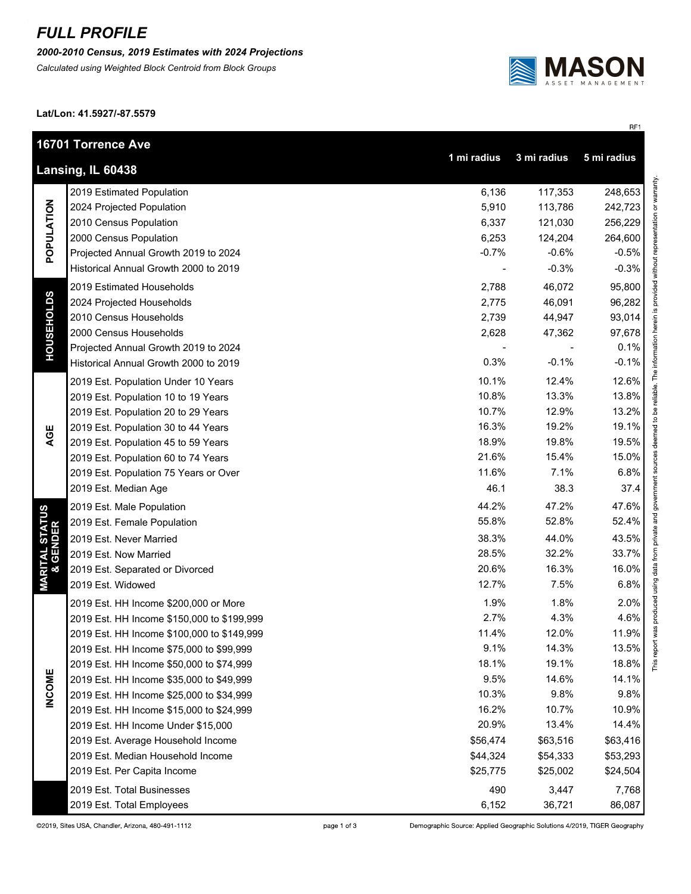## *FULL PROFILE*

*2000-2010 Census, 2019 Estimates with 2024 Projections*

*Calculated using Weighted Block Centroid from Block Groups*



RF1

This report was produced using data from private and government sources deemed to be reliable. The information herein is provided without representation or warranty.

**Lat/Lon: 41.5927/-87.5579**

|                                                                       | 16701 Torrence Ave                         |          |          |          |  |  |
|-----------------------------------------------------------------------|--------------------------------------------|----------|----------|----------|--|--|
| 1 mi radius<br>3 mi radius<br>5 mi radius<br><b>Lansing, IL 60438</b> |                                            |          |          |          |  |  |
| POPULATION                                                            | 2019 Estimated Population                  | 6,136    | 117,353  | 248,653  |  |  |
|                                                                       | 2024 Projected Population                  | 5,910    | 113,786  | 242,723  |  |  |
|                                                                       | 2010 Census Population                     | 6,337    | 121,030  | 256,229  |  |  |
|                                                                       | 2000 Census Population                     | 6,253    | 124,204  | 264,600  |  |  |
|                                                                       | Projected Annual Growth 2019 to 2024       | $-0.7%$  | $-0.6%$  | $-0.5%$  |  |  |
|                                                                       | Historical Annual Growth 2000 to 2019      |          | $-0.3%$  | $-0.3%$  |  |  |
| <b>HOUSEHOLDS</b>                                                     | 2019 Estimated Households                  | 2,788    | 46,072   | 95,800   |  |  |
|                                                                       | 2024 Projected Households                  | 2,775    | 46,091   | 96,282   |  |  |
|                                                                       | 2010 Census Households                     | 2,739    | 44,947   | 93,014   |  |  |
|                                                                       | 2000 Census Households                     | 2,628    | 47,362   | 97,678   |  |  |
|                                                                       | Projected Annual Growth 2019 to 2024       |          |          | 0.1%     |  |  |
|                                                                       | Historical Annual Growth 2000 to 2019      | 0.3%     | $-0.1%$  | $-0.1%$  |  |  |
|                                                                       | 2019 Est. Population Under 10 Years        | 10.1%    | 12.4%    | 12.6%    |  |  |
|                                                                       | 2019 Est. Population 10 to 19 Years        | 10.8%    | 13.3%    | 13.8%    |  |  |
|                                                                       | 2019 Est. Population 20 to 29 Years        | 10.7%    | 12.9%    | 13.2%    |  |  |
|                                                                       | 2019 Est. Population 30 to 44 Years        | 16.3%    | 19.2%    | 19.1%    |  |  |
| AGE                                                                   | 2019 Est. Population 45 to 59 Years        | 18.9%    | 19.8%    | 19.5%    |  |  |
|                                                                       | 2019 Est. Population 60 to 74 Years        | 21.6%    | 15.4%    | 15.0%    |  |  |
|                                                                       | 2019 Est. Population 75 Years or Over      | 11.6%    | 7.1%     | 6.8%     |  |  |
|                                                                       | 2019 Est. Median Age                       | 46.1     | 38.3     | 37.4     |  |  |
|                                                                       | 2019 Est. Male Population                  | 44.2%    | 47.2%    | 47.6%    |  |  |
|                                                                       | 2019 Est. Female Population                | 55.8%    | 52.8%    | 52.4%    |  |  |
|                                                                       | 2019 Est. Never Married                    | 38.3%    | 44.0%    | 43.5%    |  |  |
|                                                                       | 2019 Est. Now Married                      | 28.5%    | 32.2%    | 33.7%    |  |  |
|                                                                       | 2019 Est. Separated or Divorced            | 20.6%    | 16.3%    | 16.0%    |  |  |
| <b>MARITAL STATUS<br/>&amp; GENDER</b>                                | 2019 Est. Widowed                          | 12.7%    | 7.5%     | 6.8%     |  |  |
|                                                                       | 2019 Est. HH Income \$200,000 or More      | 1.9%     | 1.8%     | 2.0%     |  |  |
|                                                                       | 2019 Est. HH Income \$150,000 to \$199,999 | 2.7%     | 4.3%     | 4.6%     |  |  |
|                                                                       | 2019 Est. HH Income \$100,000 to \$149,999 | 11.4%    | 12.0%    | 11.9%    |  |  |
|                                                                       | 2019 Est. HH Income \$75,000 to \$99,999   | 9.1%     | 14.3%    | 13.5%    |  |  |
|                                                                       | 2019 Est. HH Income \$50,000 to \$74,999   | 18.1%    | 19.1%    | 18.8%    |  |  |
|                                                                       | 2019 Est. HH Income \$35,000 to \$49,999   | 9.5%     | 14.6%    | 14.1%    |  |  |
| <b>INCOME</b>                                                         | 2019 Est. HH Income \$25,000 to \$34,999   | 10.3%    | 9.8%     | 9.8%     |  |  |
|                                                                       | 2019 Est. HH Income \$15,000 to \$24,999   | 16.2%    | 10.7%    | 10.9%    |  |  |
|                                                                       | 2019 Est. HH Income Under \$15,000         | 20.9%    | 13.4%    | 14.4%    |  |  |
|                                                                       | 2019 Est. Average Household Income         | \$56,474 | \$63,516 | \$63,416 |  |  |
|                                                                       | 2019 Est. Median Household Income          | \$44,324 | \$54,333 | \$53,293 |  |  |
|                                                                       | 2019 Est. Per Capita Income                | \$25,775 | \$25,002 | \$24,504 |  |  |
|                                                                       | 2019 Est. Total Businesses                 | 490      | 3,447    | 7,768    |  |  |
|                                                                       | 2019 Est. Total Employees                  | 6,152    | 36,721   | 86,087   |  |  |

page 1 of 3

Demographic Source: Applied Geographic Solutions 4/2019, TIGER Geography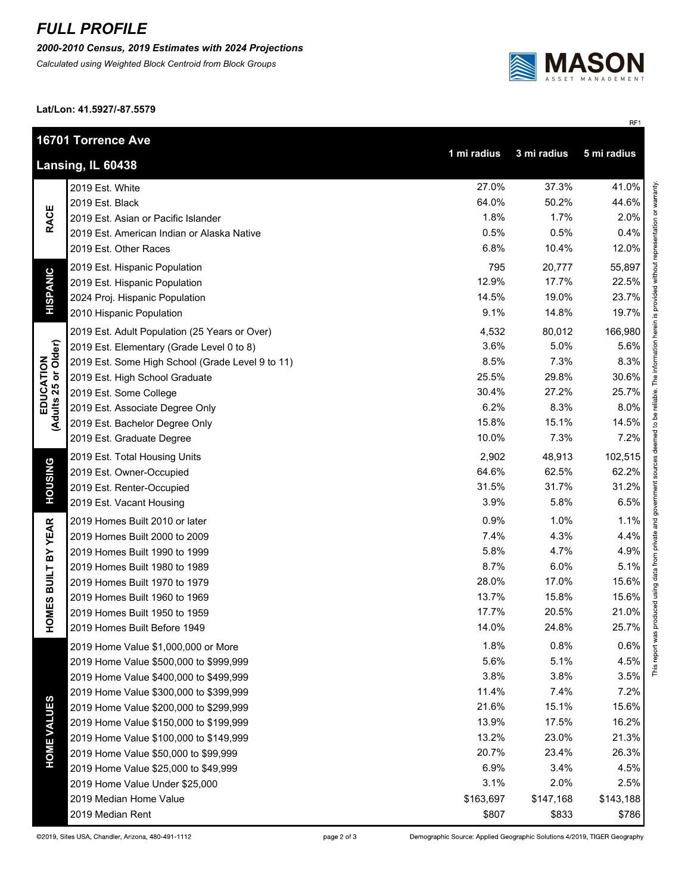## *FULL PROFILE*

*2000-2010 Census, 2019 Estimates with 2024 Projections*

*Calculated using Weighted Block Centroid from Block Groups*



RF1

**Lat/Lon: 41.5927/-87.5579**

|                                                                | 16701 Torrence Ave                               |           |           |           |  |  |
|----------------------------------------------------------------|--------------------------------------------------|-----------|-----------|-----------|--|--|
| 1 mi radius<br>3 mi radius<br>5 mi radius<br>Lansing, IL 60438 |                                                  |           |           |           |  |  |
| <b>RACE</b>                                                    | 2019 Est. White                                  | 27.0%     | 37.3%     | 41.0%     |  |  |
|                                                                | 2019 Est. Black                                  | 64.0%     | 50.2%     | 44.6%     |  |  |
|                                                                | 2019 Est. Asian or Pacific Islander              | 1.8%      | 1.7%      | 2.0%      |  |  |
|                                                                | 2019 Est. American Indian or Alaska Native       | 0.5%      | 0.5%      | 0.4%      |  |  |
|                                                                | 2019 Est. Other Races                            | 6.8%      | 10.4%     | 12.0%     |  |  |
|                                                                | 2019 Est. Hispanic Population                    | 795       | 20,777    | 55,897    |  |  |
|                                                                | 2019 Est. Hispanic Population                    | 12.9%     | 17.7%     | 22.5%     |  |  |
| <b>HISPANIC</b>                                                | 2024 Proj. Hispanic Population                   | 14.5%     | 19.0%     | 23.7%     |  |  |
|                                                                | 2010 Hispanic Population                         | 9.1%      | 14.8%     | 19.7%     |  |  |
|                                                                | 2019 Est. Adult Population (25 Years or Over)    | 4,532     | 80,012    | 166,980   |  |  |
|                                                                | 2019 Est. Elementary (Grade Level 0 to 8)        | 3.6%      | 5.0%      | 5.6%      |  |  |
|                                                                | 2019 Est. Some High School (Grade Level 9 to 11) | 8.5%      | 7.3%      | 8.3%      |  |  |
|                                                                | 2019 Est. High School Graduate                   | 25.5%     | 29.8%     | 30.6%     |  |  |
|                                                                | 2019 Est. Some College                           | 30.4%     | 27.2%     | 25.7%     |  |  |
|                                                                | 2019 Est. Associate Degree Only                  | 6.2%      | 8.3%      | 8.0%      |  |  |
| EDUCATION<br>(Adults 25 or Older)                              | 2019 Est. Bachelor Degree Only                   | 15.8%     | 15.1%     | 14.5%     |  |  |
|                                                                | 2019 Est. Graduate Degree                        | 10.0%     | 7.3%      | 7.2%      |  |  |
|                                                                | 2019 Est. Total Housing Units                    | 2,902     | 48,913    | 102,515   |  |  |
|                                                                | 2019 Est. Owner-Occupied                         | 64.6%     | 62.5%     | 62.2%     |  |  |
| <b>HOUSING</b>                                                 | 2019 Est. Renter-Occupied                        | 31.5%     | 31.7%     | 31.2%     |  |  |
|                                                                | 2019 Est. Vacant Housing                         | 3.9%      | 5.8%      | 6.5%      |  |  |
|                                                                | 2019 Homes Built 2010 or later                   | 0.9%      | 1.0%      | 1.1%      |  |  |
|                                                                | 2019 Homes Built 2000 to 2009                    | 7.4%      | 4.3%      | 4.4%      |  |  |
|                                                                | 2019 Homes Built 1990 to 1999                    | 5.8%      | 4.7%      | 4.9%      |  |  |
| <b>HOMES BUILT BY YEAR</b>                                     | 2019 Homes Built 1980 to 1989                    | 8.7%      | 6.0%      | 5.1%      |  |  |
|                                                                | 2019 Homes Built 1970 to 1979                    | 28.0%     | 17.0%     | 15.6%     |  |  |
|                                                                | 2019 Homes Built 1960 to 1969                    | 13.7%     | 15.8%     | 15.6%     |  |  |
|                                                                | 2019 Homes Built 1950 to 1959                    | 17.7%     | 20.5%     | 21.0%     |  |  |
|                                                                | 2019 Homes Built Before 1949                     | 14.0%     | 24.8%     | 25.7%     |  |  |
|                                                                | 2019 Home Value \$1,000,000 or More              | 1.8%      | 0.8%      | 0.6%      |  |  |
|                                                                | 2019 Home Value \$500,000 to \$999,999           | 5.6%      | 5.1%      | 4.5%      |  |  |
| <b>HOME VALUES</b>                                             | 2019 Home Value \$400,000 to \$499,999           | 3.8%      | 3.8%      | 3.5%      |  |  |
|                                                                | 2019 Home Value \$300,000 to \$399,999           | 11.4%     | 7.4%      | 7.2%      |  |  |
|                                                                | 2019 Home Value \$200,000 to \$299,999           | 21.6%     | 15.1%     | 15.6%     |  |  |
|                                                                | 2019 Home Value \$150,000 to \$199,999           | 13.9%     | 17.5%     | 16.2%     |  |  |
|                                                                | 2019 Home Value \$100,000 to \$149,999           | 13.2%     | 23.0%     | 21.3%     |  |  |
|                                                                | 2019 Home Value \$50,000 to \$99,999             | 20.7%     | 23.4%     | 26.3%     |  |  |
|                                                                | 2019 Home Value \$25,000 to \$49,999             | 6.9%      | 3.4%      | 4.5%      |  |  |
|                                                                | 2019 Home Value Under \$25,000                   | 3.1%      | 2.0%      | 2.5%      |  |  |
|                                                                | 2019 Median Home Value                           | \$163,697 | \$147,168 | \$143,188 |  |  |
|                                                                | 2019 Median Rent                                 | \$807     | \$833     | \$786     |  |  |

Demographic Source: Applied Geographic Solutions 4/2019, TIGER Geography